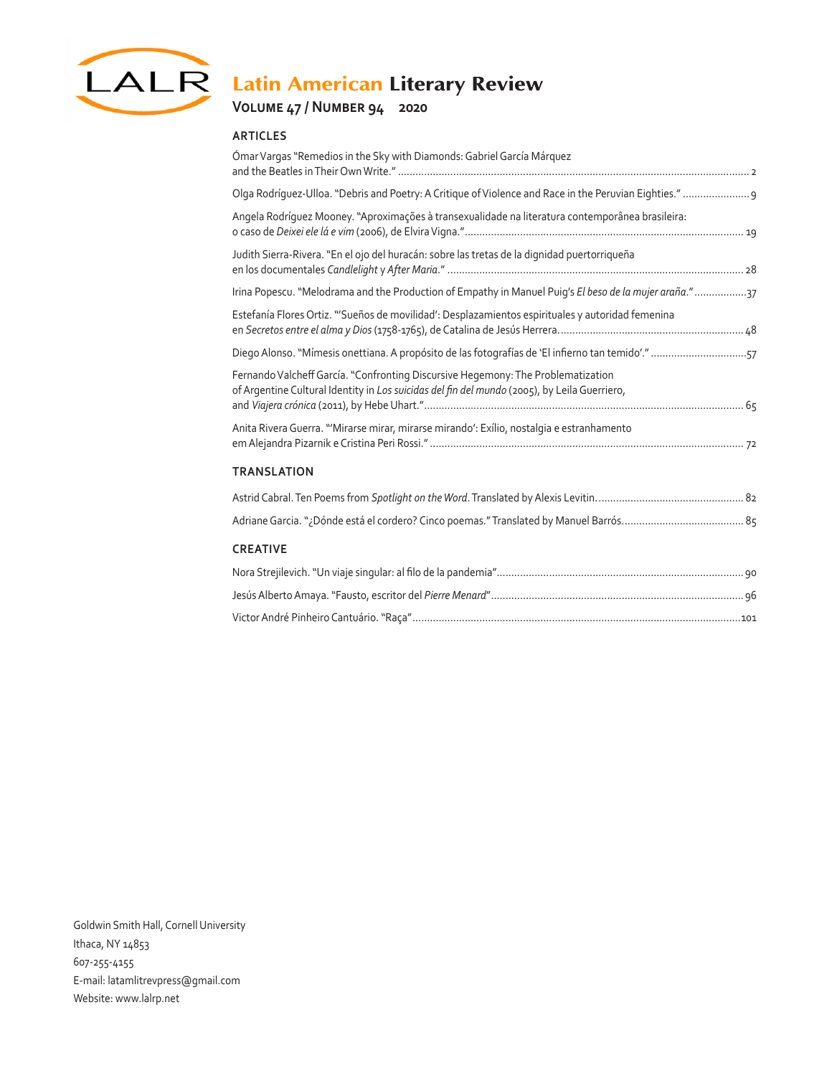

# LALR Latin American Literary Review

## **Volume 47 / Number 94 2020**

#### **ARTICLES**

| Ómar Vargas "Remedios in the Sky with Diamonds: Gabriel García Márquez                                                                                                           |
|----------------------------------------------------------------------------------------------------------------------------------------------------------------------------------|
| Olga Rodríguez-Ulloa. "Debris and Poetry: A Critique of Violence and Race in the Peruvian Eighties."  9                                                                          |
| Angela Rodríguez Mooney. "Aproximações à transexualidade na literatura contemporânea brasileira:                                                                                 |
| Judith Sierra-Rivera. "En el ojo del huracán: sobre las tretas de la dignidad puertorriqueña                                                                                     |
| Irina Popescu. "Melodrama and the Production of Empathy in Manuel Puiq's El beso de la mujer araña."37                                                                           |
| Estefanía Flores Ortiz. "'Sueños de movilidad': Desplazamientos espirituales y autoridad femenina                                                                                |
| Diego Alonso. "Mímesis onettiana. A propósito de las fotografías de 'El infierno tan temido'." 57                                                                                |
| Fernando Valcheff García. "Confronting Discursive Hegemony: The Problematization<br>of Argentine Cultural Identity in Los suicidas del fin del mundo (2005), by Leila Guerriero, |
| Anita Rivera Guerra. "'Mirarse mirar, mirarse mirando': Exílio, nostalgia e estranhamento                                                                                        |
| <b>TRANSLATION</b>                                                                                                                                                               |
|                                                                                                                                                                                  |
|                                                                                                                                                                                  |
| <b>CREATIVE</b>                                                                                                                                                                  |
|                                                                                                                                                                                  |
|                                                                                                                                                                                  |
|                                                                                                                                                                                  |

Goldwin Smith Hall, Cornell University Ithaca, NY 14853 607-255-4155 E-mail: latamlitrevpress@gmail.com Website: www.lalrp.net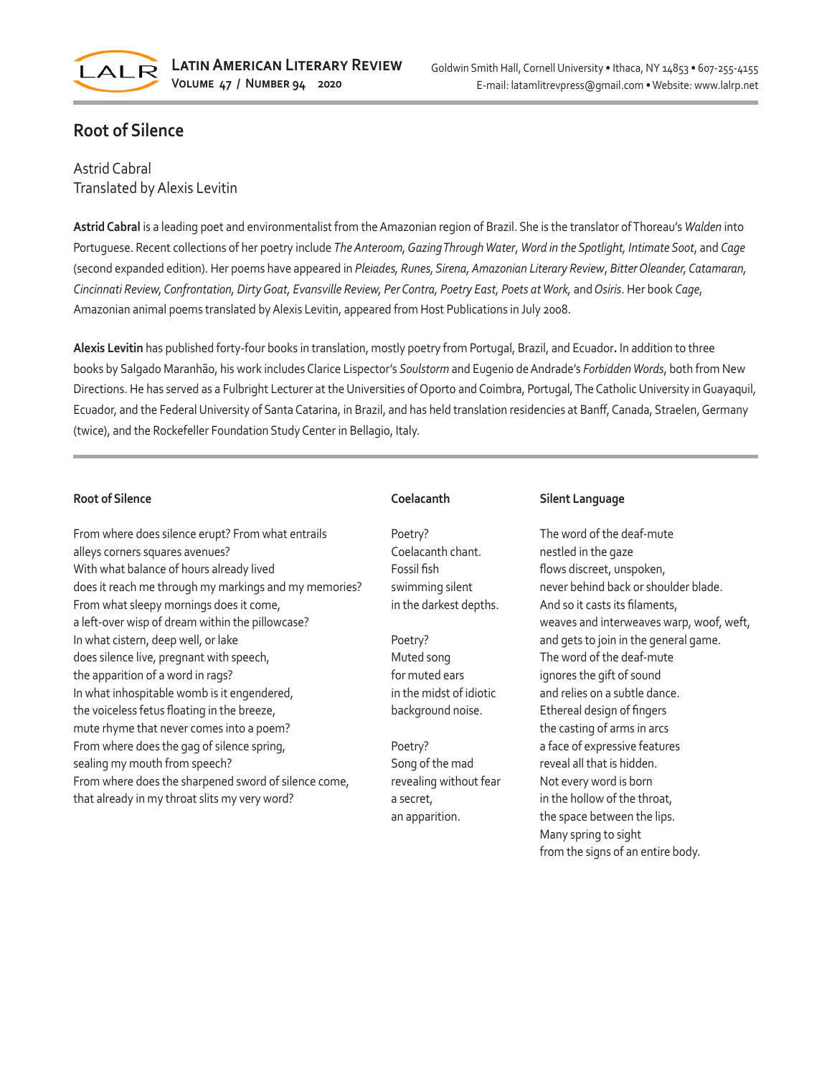

## **Root of Silence**

### Astrid Cabral Translated by Alexis Levitin

**Astrid Cabral** is a leading poet and environmentalist from the Amazonian region of Brazil. She is the translator of Thoreau's *Walden* into Portuguese. Recent collections of her poetry include *The Anteroom, Gazing Through Water*, *Word in the Spotlight, Intimate Soot*, and *Cage* (second expanded edition). Her poems have appeared in *Pleiades, Runes, Sirena, Amazonian Literary Review*, *Bitter Oleander, Catamaran, Cincinnati Review, Confrontation, Dirty Goat, Evansville Review, Per Contra, Poetry East, Poets at Work,* and *Osiris*. Her book *Cage*, Amazonian animal poems translated by Alexis Levitin, appeared from Host Publications in July 2008.

**Alexis Levitin** has published forty-four books in translation, mostly poetry from Portugal, Brazil, and Ecuador**.** In addition to three books by Salgado Maranhão, his work includes Clarice Lispector's *Soulstorm* and Eugenio de Andrade's *Forbidden Words*, both from New Directions. He has served as a Fulbright Lecturer at the Universities of Oporto and Coimbra, Portugal, The Catholic University in Guayaquil, Ecuador, and the Federal University of Santa Catarina, in Brazil, and has held translation residencies at Banff, Canada, Straelen, Germany (twice), and the Rockefeller Foundation Study Center in Bellagio, Italy.

#### **Root of Silence**

From where does silence erupt? From what entrails alleys corners squares avenues? With what balance of hours already lived does it reach me through my markings and my memories? From what sleepy mornings does it come, a left-over wisp of dream within the pillowcase? In what cistern, deep well, or lake does silence live, pregnant with speech, the apparition of a word in rags? In what inhospitable womb is it engendered, the voiceless fetus floating in the breeze, mute rhyme that never comes into a poem? From where does the gag of silence spring, sealing my mouth from speech? From where does the sharpened sword of silence come, that already in my throat slits my very word?

#### **Coelacanth**

Poetry? Coelacanth chant. Fossil fish swimming silent in the darkest depths.

Poetry? Muted song for muted ears in the midst of idiotic background noise.

Poetry? Song of the mad revealing without fear a secret, an apparition.

#### **Silent Language**

The word of the deaf-mute nestled in the gaze flows discreet, unspoken, never behind back or shoulder blade. And so it casts its filaments, weaves and interweaves warp, woof, weft, and gets to join in the general game. The word of the deaf-mute ignores the gift of sound and relies on a subtle dance. Ethereal design of fingers the casting of arms in arcs a face of expressive features reveal all that is hidden. Not every word is born in the hollow of the throat, the space between the lips. Many spring to sight from the signs of an entire body.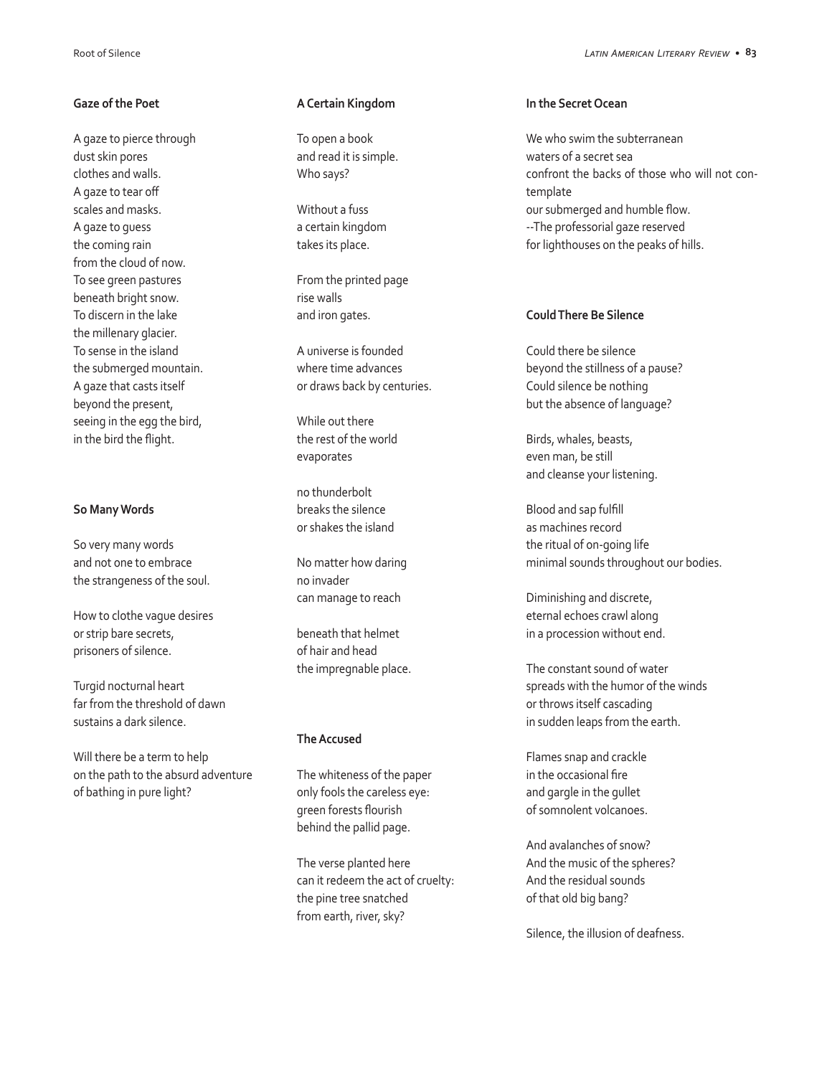#### **Gaze of the Poet**

A gaze to pierce through dust skin pores clothes and walls. A gaze to tear off scales and masks. A gaze to guess the coming rain from the cloud of now. To see green pastures beneath bright snow. To discern in the lake the millenary glacier. To sense in the island the submerged mountain. A gaze that casts itself beyond the present, seeing in the egg the bird, in the bird the flight.

#### **So Many Words**

So very many words and not one to embrace the strangeness of the soul.

How to clothe vague desires or strip bare secrets, prisoners of silence.

Turgid nocturnal heart far from the threshold of dawn sustains a dark silence.

Will there be a term to help on the path to the absurd adventure of bathing in pure light?

#### **A Certain Kingdom**

To open a book and read it is simple. Who says?

Without a fuss a certain kingdom takes its place.

From the printed page rise walls and iron gates.

A universe is founded where time advances or draws back by centuries.

While out there the rest of the world evaporates

no thunderbolt breaks the silence or shakes the island

No matter how daring no invader can manage to reach

beneath that helmet of hair and head the impregnable place.

#### **The Accused**

The whiteness of the paper only fools the careless eye: green forests flourish behind the pallid page.

The verse planted here can it redeem the act of cruelty: the pine tree snatched from earth, river, sky?

#### **In the Secret Ocean**

We who swim the subterranean waters of a secret sea confront the backs of those who will not contemplate our submerged and humble flow. --The professorial gaze reserved for lighthouses on the peaks of hills.

#### **Could There Be Silence**

Could there be silence beyond the stillness of a pause? Could silence be nothing but the absence of language?

Birds, whales, beasts, even man, be still and cleanse your listening.

Blood and sap fulfill as machines record the ritual of on-going life minimal sounds throughout our bodies.

Diminishing and discrete, eternal echoes crawl along in a procession without end.

The constant sound of water spreads with the humor of the winds or throws itself cascading in sudden leaps from the earth.

Flames snap and crackle in the occasional fire and gargle in the gullet of somnolent volcanoes.

And avalanches of snow? And the music of the spheres? And the residual sounds of that old big bang?

Silence, the illusion of deafness.